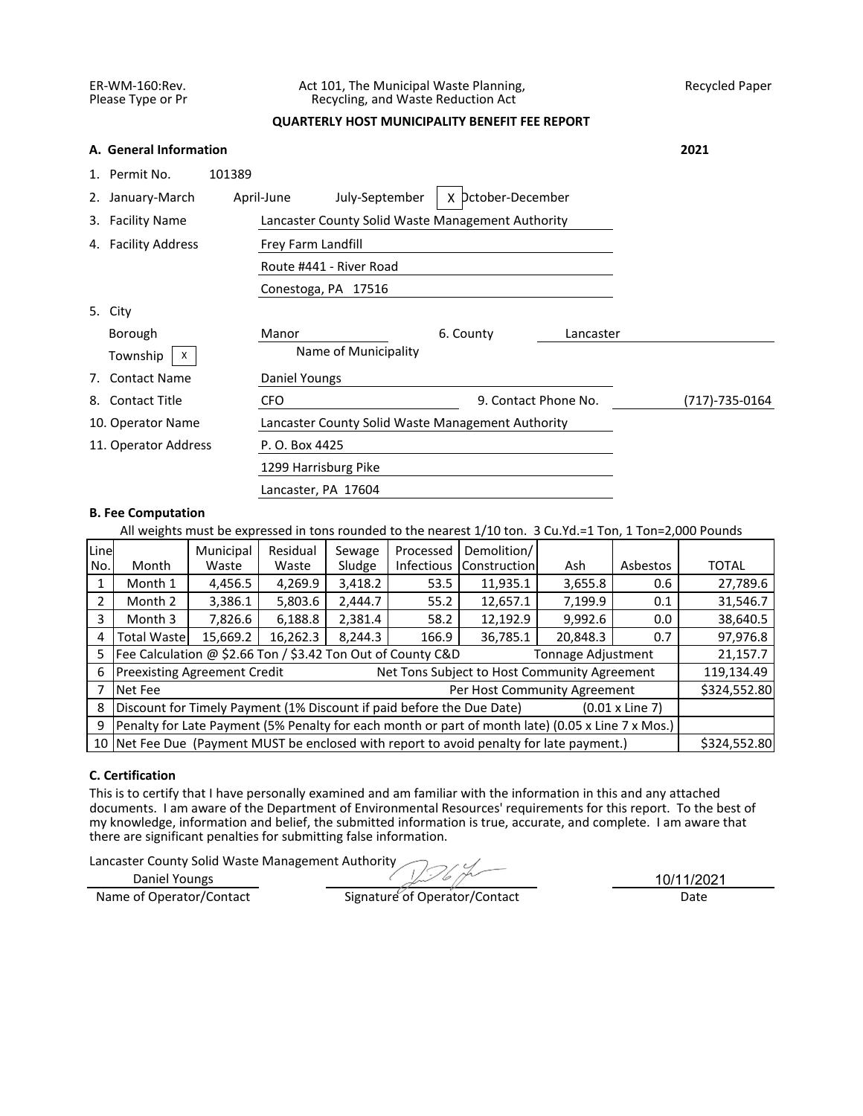## ER-WM-160:Rev. Act 101, The Municipal Waste Planning, Recycled Paper<br>Please Type or Pr Recycling, and Waste Reduction Act Recycling, and Waste Reduction Act

# **QUARTERLY HOST MUNICIPALITY BENEFIT FEE REPORT**

|    | A. General Information |                                                   | 2021           |
|----|------------------------|---------------------------------------------------|----------------|
|    | 1. Permit No.          | 101389                                            |                |
|    | 2. January-March       |                                                   |                |
|    | 3. Facility Name       | Lancaster County Solid Waste Management Authority |                |
|    | 4. Facility Address    | Frey Farm Landfill                                |                |
|    |                        |                                                   |                |
|    |                        |                                                   |                |
|    | 5. City                |                                                   |                |
|    | Borough                | Manor<br>6. County<br>Lancaster                   |                |
|    | Township<br>X          | Name of Municipality                              |                |
| 7. | <b>Contact Name</b>    | Daniel Youngs                                     |                |
| 8. | <b>Contact Title</b>   | 9. Contact Phone No.<br><b>CFO</b>                | (717)-735-0164 |
|    | 10. Operator Name      | Lancaster County Solid Waste Management Authority |                |
|    | 11. Operator Address   | P. O. Box 4425                                    |                |
|    |                        | 1299 Harrisburg Pike                              |                |
|    |                        | Lancaster, PA 17604                               |                |

# **B. Fee Computation**

All weights must be expressed in tons rounded to the nearest 1/10 ton. 3 Cu.Yd.=1 Ton, 1 Ton=2,000 Pounds

| Line<br>No. | Month                                                                                             | Municipal<br>Waste                                                  | Residual<br>Waste | Sewage<br>Sludge | Processed<br><b>Infectious</b> | Demolition/<br>Construction                                                              | Ash      | Asbestos | <b>TOTAL</b> |  |  |
|-------------|---------------------------------------------------------------------------------------------------|---------------------------------------------------------------------|-------------------|------------------|--------------------------------|------------------------------------------------------------------------------------------|----------|----------|--------------|--|--|
|             | Month 1                                                                                           | 4,456.5                                                             | 4,269.9           | 3,418.2          | 53.5                           | 11,935.1                                                                                 | 3,655.8  | 0.6      | 27,789.6     |  |  |
|             | Month 2                                                                                           | 12,657.1<br>7,199.9<br>3,386.1<br>5,803.6<br>2,444.7<br>55.2<br>0.1 |                   |                  |                                |                                                                                          |          |          |              |  |  |
| 3           | 58.2<br>12,192.9<br>9,992.6<br>Month 3<br>7,826.6<br>6,188.8<br>2,381.4<br>0.0                    |                                                                     |                   |                  |                                |                                                                                          |          |          | 38,640.5     |  |  |
| 4           | <b>Total Waste</b>                                                                                | 15,669.2                                                            | 16,262.3          | 8,244.3          | 166.9                          | 36,785.1                                                                                 | 20,848.3 | 0.7      | 97,976.8     |  |  |
|             | Fee Calculation @ \$2.66 Ton / \$3.42 Ton Out of County C&D<br>Tonnage Adjustment                 |                                                                     |                   |                  |                                |                                                                                          |          |          |              |  |  |
| 6           | <b>Preexisting Agreement Credit</b><br>Net Tons Subject to Host Community Agreement               |                                                                     |                   |                  |                                |                                                                                          |          |          |              |  |  |
|             | Per Host Community Agreement<br>Net Fee                                                           |                                                                     |                   |                  |                                |                                                                                          |          |          |              |  |  |
| 8           | Discount for Timely Payment (1% Discount if paid before the Due Date)<br>$(0.01 \times$ Line 7)   |                                                                     |                   |                  |                                |                                                                                          |          |          |              |  |  |
| 9           | Penalty for Late Payment (5% Penalty for each month or part of month late) (0.05 x Line 7 x Mos.) |                                                                     |                   |                  |                                |                                                                                          |          |          |              |  |  |
|             |                                                                                                   |                                                                     |                   |                  |                                | 10 Net Fee Due (Payment MUST be enclosed with report to avoid penalty for late payment.) |          |          | \$324,552.80 |  |  |

# **C. Certification**

This is to certify that I have personally examined and am familiar with the information in this and any attached documents. I am aware of the Department of Environmental Resources' requirements for this report. To the best of my knowledge, information and belief, the submitted information is true, accurate, and complete. I am aware that there are significant penalties for submitting false information.

Lancaster County Solid Waste Management Authority

Daniel Youngs

Name of Operator/Contact Signature of Operator/Contact Date

10/11/2021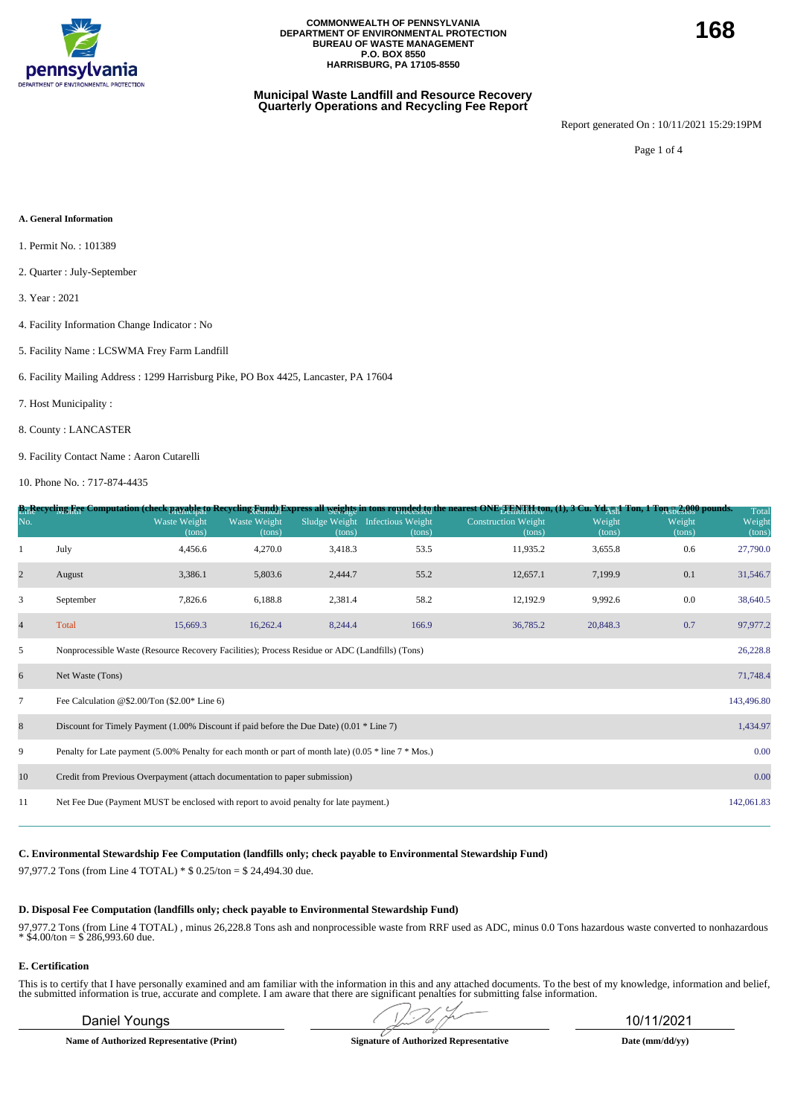

### **Municipal Waste Landfill and Resource Recovery Quarterly Operations and Recycling Fee Report**

Report generated On : 10/11/2021 15:29:19PM

Page 1 of 4

#### **A. General Information**

- 1. Permit No. : 101389
- 2. Quarter : July-September
- 3. Year : 2021
- 4. Facility Information Change Indicator : No
- 5. Facility Name : LCSWMA Frey Farm Landfill
- 6. Facility Mailing Address : 1299 Harrisburg Pike, PO Box 4425, Lancaster, PA 17604
- 7. Host Municipality :
- 8. County : LANCASTER
- 9. Facility Contact Name : Aaron Cutarelli

10. Phone No. : 717-874-4435

|                |                                                                                                            |                        |                        |                         |                                    | B <sub>11</sub> Recycling Fee Computation (check payable to Recycling Eynd) Express all <u>weights</u> in tons rounded to nearest ONE <sub>T En</sub> y Haton, (1), 3 Cu. Yd <sub>AUI</sub> Ton, 1 Ton 52,000 pounds. |                  |                  | Total            |  |  |
|----------------|------------------------------------------------------------------------------------------------------------|------------------------|------------------------|-------------------------|------------------------------------|-----------------------------------------------------------------------------------------------------------------------------------------------------------------------------------------------------------------------|------------------|------------------|------------------|--|--|
| No.            |                                                                                                            | Waste Weight<br>(tons) | Waste Weight<br>(tons) | Sludge Weight<br>(tons) | <b>Infectious Weight</b><br>(tons) | <b>Construction Weight</b><br>(tons)                                                                                                                                                                                  | Weight<br>(tons) | Weight<br>(tons) | Weight<br>(tons) |  |  |
|                | July                                                                                                       | 4,456.6                | 4,270.0                | 3,418.3                 | 53.5                               | 11,935.2                                                                                                                                                                                                              | 3,655.8          | 0.6              | 27,790.0         |  |  |
| $\mathbf{2}$   | August                                                                                                     | 3,386.1                | 5,803.6                | 2,444.7                 | 55.2                               | 12,657.1                                                                                                                                                                                                              | 7,199.9          | 0.1              | 31,546.7         |  |  |
| 3              | September                                                                                                  | 7,826.6                | 6,188.8                | 2,381.4                 | 58.2                               | 12,192.9                                                                                                                                                                                                              | 9,992.6          | 0.0              | 38,640.5         |  |  |
| $\overline{4}$ | Total                                                                                                      | 15,669.3               | 16,262.4               | 8,244.4                 | 166.9                              | 36,785.2                                                                                                                                                                                                              | 20,848.3         | 0.7              | 97,977.2         |  |  |
| 5              | Nonprocessible Waste (Resource Recovery Facilities); Process Residue or ADC (Landfills) (Tons)<br>26,228.8 |                        |                        |                         |                                    |                                                                                                                                                                                                                       |                  |                  |                  |  |  |
| 6              | 71,748.4<br>Net Waste (Tons)                                                                               |                        |                        |                         |                                    |                                                                                                                                                                                                                       |                  |                  |                  |  |  |
| $\tau$         | Fee Calculation @\$2.00/Ton $(\$2.00*$ Line 6)<br>143,496.80                                               |                        |                        |                         |                                    |                                                                                                                                                                                                                       |                  |                  |                  |  |  |
| 8              | Discount for Timely Payment $(1.00\%$ Discount if paid before the Due Date) $(0.01 * Line 7)$              |                        |                        |                         |                                    |                                                                                                                                                                                                                       |                  |                  | 1,434.97         |  |  |
| 9              | Penalty for Late payment (5.00% Penalty for each month or part of month late) (0.05 $*$ line 7 $*$ Mos.)   |                        |                        |                         |                                    |                                                                                                                                                                                                                       |                  |                  | 0.00             |  |  |
| 10             | 0.00<br>Credit from Previous Overpayment (attach documentation to paper submission)                        |                        |                        |                         |                                    |                                                                                                                                                                                                                       |                  |                  |                  |  |  |
| 11             | Net Fee Due (Payment MUST be enclosed with report to avoid penalty for late payment.)                      |                        |                        |                         |                                    |                                                                                                                                                                                                                       |                  |                  | 142,061.83       |  |  |
|                |                                                                                                            |                        |                        |                         |                                    |                                                                                                                                                                                                                       |                  |                  |                  |  |  |

**C. Environmental Stewardship Fee Computation (landfills only; check payable to Environmental Stewardship Fund)**

97,977.2 Tons (from Line 4 TOTAL) \* \$ 0.25/ton = \$ 24,494.30 due.

#### **D. Disposal Fee Computation (landfills only; check payable to Environmental Stewardship Fund)**

97,977.2 Tons (from Line 4 TOTAL) , minus 26,228.8 Tons ash and nonprocessible waste from RRF used as ADC, minus 0.0 Tons hazardous waste converted to nonhazardous  $*$  \$4.00/ton = \$ 286,993.60 due.

#### **E. Certification**

This is to certify that I have personally examined and am familiar with the information in this and any attached documents. To the best of my knowledge, information and belief, the submitted information is true, accurate and complete. I am aware that there are significant penalties for submitting false information.

**Name of Authorized Representative (Print) Signature of Authorized Representative Date (mm/dd/yy)**

Daniel Youngs 10/11/2021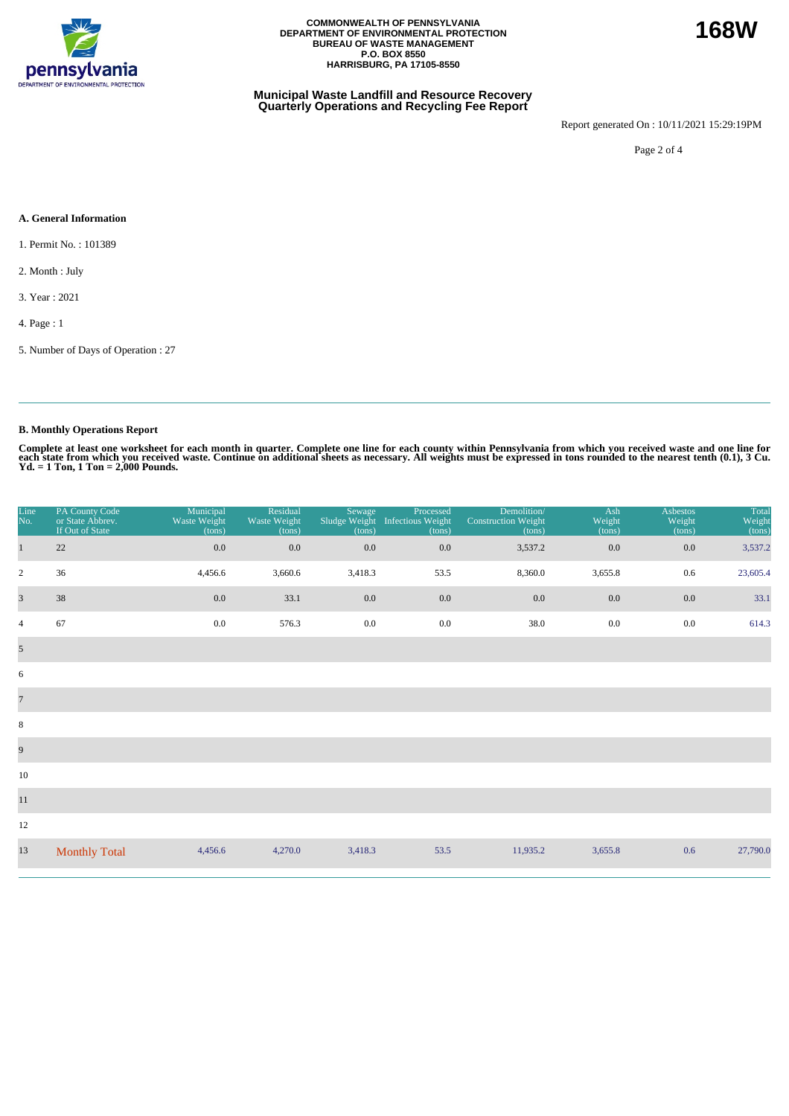

### **Municipal Waste Landfill and Resource Recovery Quarterly Operations and Recycling Fee Report**

Report generated On : 10/11/2021 15:29:19PM

Page 2 of 4

### **A. General Information**

1. Permit No. : 101389

- 2. Month : July
- 3. Year : 2021

4. Page : 1

5. Number of Days of Operation : 27

# **B. Monthly Operations Report**

Complete at least one worksheet for each month in quarter. Complete one line for each county within Pennsylvania from which you received waste and one line for<br>each state from which you received waste. Continue on addition

| Line<br>No.             | PA County Code<br>or State Abbrev.<br>If Out of State | Municipal<br>Waste Weight<br>(tons) | Residual<br>Waste Weight<br>(tons) | Sewage<br>(tons) | Processed<br>Sludge Weight Infectious Weight<br>(tons) | Demolition/<br><b>Construction Weight</b><br>(tons) | Ash<br>Weight<br>(tons) | <b>Asbestos</b><br>Weight<br>(tons) | Total<br>Weight<br>(tons) |
|-------------------------|-------------------------------------------------------|-------------------------------------|------------------------------------|------------------|--------------------------------------------------------|-----------------------------------------------------|-------------------------|-------------------------------------|---------------------------|
| $\mathbf{1}$            | 22                                                    | 0.0                                 | 0.0                                | 0.0              | 0.0                                                    | 3,537.2                                             | 0.0                     | 0.0                                 | 3,537.2                   |
| $\overline{2}$          | 36                                                    | 4,456.6                             | 3,660.6                            | 3,418.3          | 53.5                                                   | 8,360.0                                             | 3,655.8                 | 0.6                                 | 23,605.4                  |
| $\overline{\mathbf{3}}$ | 38                                                    | $0.0\,$                             | 33.1                               | 0.0              | 0.0                                                    | 0.0                                                 | 0.0                     | 0.0                                 | 33.1                      |
| $\overline{4}$          | 67                                                    | 0.0                                 | 576.3                              | $0.0\,$          | $0.0\,$                                                | 38.0                                                | $0.0\,$                 | 0.0                                 | 614.3                     |
| $\mathfrak{S}$          |                                                       |                                     |                                    |                  |                                                        |                                                     |                         |                                     |                           |
| 6                       |                                                       |                                     |                                    |                  |                                                        |                                                     |                         |                                     |                           |
| $\overline{7}$          |                                                       |                                     |                                    |                  |                                                        |                                                     |                         |                                     |                           |
| $\,8\,$                 |                                                       |                                     |                                    |                  |                                                        |                                                     |                         |                                     |                           |
| $\overline{9}$          |                                                       |                                     |                                    |                  |                                                        |                                                     |                         |                                     |                           |
| 10                      |                                                       |                                     |                                    |                  |                                                        |                                                     |                         |                                     |                           |
| $11\,$                  |                                                       |                                     |                                    |                  |                                                        |                                                     |                         |                                     |                           |
| 12                      |                                                       |                                     |                                    |                  |                                                        |                                                     |                         |                                     |                           |
| 13                      | <b>Monthly Total</b>                                  | 4,456.6                             | 4,270.0                            | 3,418.3          | 53.5                                                   | 11,935.2                                            | 3,655.8                 | 0.6                                 | 27,790.0                  |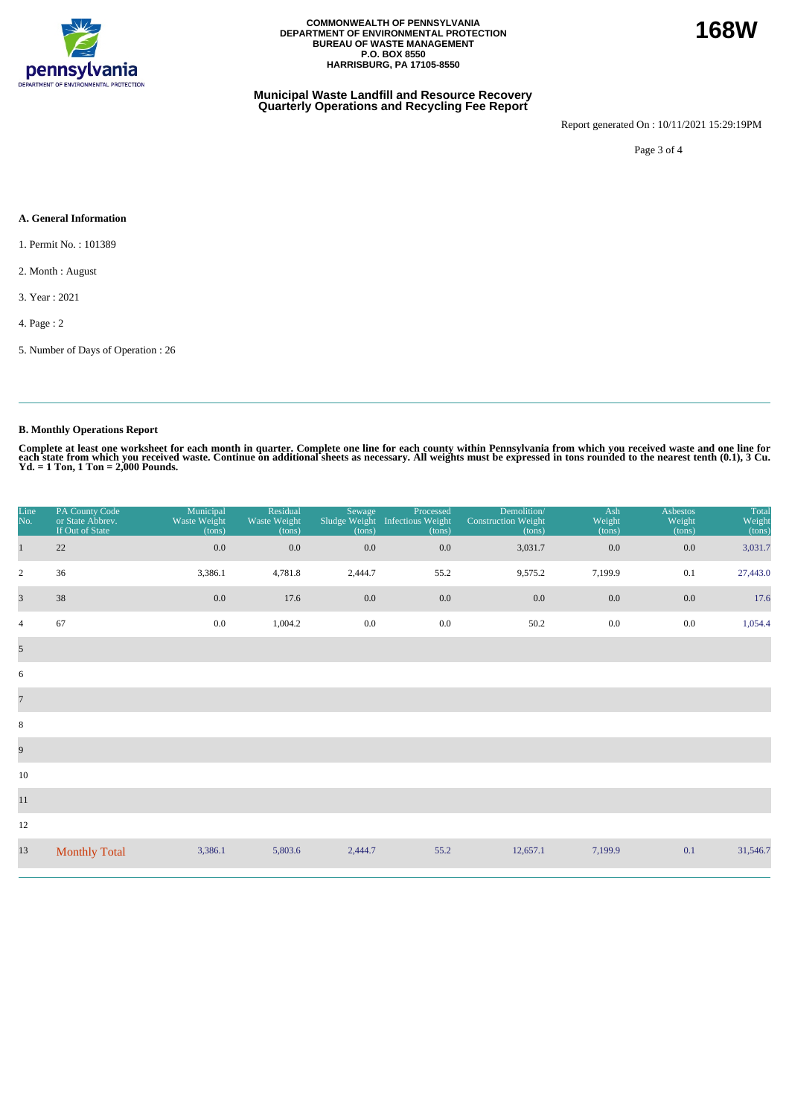

### **Municipal Waste Landfill and Resource Recovery Quarterly Operations and Recycling Fee Report**

Report generated On : 10/11/2021 15:29:19PM

Page 3 of 4

### **A. General Information**

1. Permit No. : 101389

2. Month : August

3. Year : 2021

4. Page : 2

5. Number of Days of Operation : 26

# **B. Monthly Operations Report**

Complete at least one worksheet for each month in quarter. Complete one line for each county within Pennsylvania from which you received waste and one line for<br>each state from which you received waste. Continue on addition

| Line<br>No.             | PA County Code<br>or State Abbrev.<br>If Out of State | Municipal<br>Waste Weight<br>(tons) | Residual<br>Waste Weight<br>(tons) | Sewage<br>Sludge Weight<br>(tons) | Processed<br>Infectious Weight<br>(tons) | Demolition/<br><b>Construction Weight</b><br>(tons) | Ash<br>Weight<br>(tons) | Asbestos<br>Weight<br>(tons) | Total<br>Weight<br>(tons) |
|-------------------------|-------------------------------------------------------|-------------------------------------|------------------------------------|-----------------------------------|------------------------------------------|-----------------------------------------------------|-------------------------|------------------------------|---------------------------|
| $\mathbf{1}$            | 22                                                    | $0.0\,$                             | $0.0\,$                            | 0.0                               | 0.0                                      | 3,031.7                                             | 0.0                     | 0.0                          | 3,031.7                   |
| $\sqrt{2}$              | 36                                                    | 3,386.1                             | 4,781.8                            | 2,444.7                           | 55.2                                     | 9,575.2                                             | 7,199.9                 | 0.1                          | 27,443.0                  |
| $\overline{\mathbf{3}}$ | 38                                                    | 0.0                                 | 17.6                               | $0.0\,$                           | 0.0                                      | 0.0                                                 | 0.0                     | $0.0\,$                      | 17.6                      |
| $\overline{4}$          | 67                                                    | 0.0                                 | 1,004.2                            | $0.0\,$                           | $0.0\,$                                  | 50.2                                                | 0.0                     | $0.0\,$                      | 1,054.4                   |
| $\overline{5}$          |                                                       |                                     |                                    |                                   |                                          |                                                     |                         |                              |                           |
| 6                       |                                                       |                                     |                                    |                                   |                                          |                                                     |                         |                              |                           |
| $\overline{7}$          |                                                       |                                     |                                    |                                   |                                          |                                                     |                         |                              |                           |
| $\,8\,$                 |                                                       |                                     |                                    |                                   |                                          |                                                     |                         |                              |                           |
| $\overline{9}$          |                                                       |                                     |                                    |                                   |                                          |                                                     |                         |                              |                           |
| 10                      |                                                       |                                     |                                    |                                   |                                          |                                                     |                         |                              |                           |
| $11\,$                  |                                                       |                                     |                                    |                                   |                                          |                                                     |                         |                              |                           |
| 12                      |                                                       |                                     |                                    |                                   |                                          |                                                     |                         |                              |                           |
| 13                      | <b>Monthly Total</b>                                  | 3,386.1                             | 5,803.6                            | 2,444.7                           | 55.2                                     | 12,657.1                                            | 7,199.9                 | 0.1                          | 31,546.7                  |